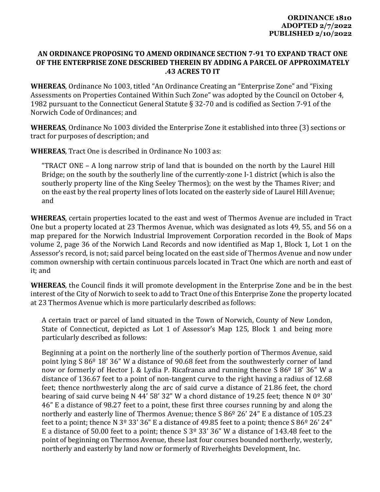## **AN ORDINANCE PROPOSING TO AMEND ORDINANCE SECTION 7‐91 TO EXPAND TRACT ONE OF THE ENTERPRISE ZONE DESCRIBED THEREIN BY ADDING A PARCEL OF APPROXIMATELY .43 ACRES TO IT**

**WHEREAS**, Ordinance No 1003, titled "An Ordinance Creating an "Enterprise Zone" and "Fixing Assessments on Properties Contained Within Such Zone" was adopted by the Council on October 4, 1982 pursuant to the Connecticut General Statute § 32-70 and is codified as Section 7-91 of the Norwich Code of Ordinances; and

**WHEREAS**, Ordinance No 1003 divided the Enterprise Zone it established into three (3) sections or tract for purposes of description; and

**WHEREAS**, Tract One is described in Ordinance No 1003 as:

"TRACT ONE – A long narrow strip of land that is bounded on the north by the Laurel Hill Bridge; on the south by the southerly line of the currently-zone I-1 district (which is also the southerly property line of the King Seeley Thermos); on the west by the Thames River; and on the east by the real property lines of lots located on the easterly side of Laurel Hill Avenue; and

**WHEREAS**, certain properties located to the east and west of Thermos Avenue are included in Tract One but a property located at 23 Thermos Avenue, which was designated as lots 49, 55, and 56 on a map prepared for the Norwich Industrial Improvement Corporation recorded in the Book of Maps volume 2, page 36 of the Norwich Land Records and now identified as Map 1, Block 1, Lot 1 on the Assessor's record, is not; said parcel being located on the east side of Thermos Avenue and now under common ownership with certain continuous parcels located in Tract One which are north and east of it; and

**WHEREAS**, the Council finds it will promote development in the Enterprise Zone and be in the best interest of the City of Norwich to seek to add to Tract One of this Enterprise Zone the property located at 23 Thermos Avenue which is more particularly described as follows:

A certain tract or parcel of land situated in the Town of Norwich, County of New London, State of Connecticut, depicted as Lot 1 of Assessor's Map 125, Block 1 and being more particularly described as follows:

Beginning at a point on the northerly line of the southerly portion of Thermos Avenue, said point lying S 86º 18' 36" W a distance of 90.68 feet from the southwesterly corner of land now or formerly of Hector J. & Lydia P. Ricafranca and running thence S  $86^{\circ}$  18' 36" W a distance of 136.67 feet to a point of non-tangent curve to the right having a radius of 12.68 feet; thence northwesterly along the arc of said curve a distance of 21.86 feet, the chord bearing of said curve being N 44' 58' 32" W a chord distance of 19.25 feet; thence N  $0^{\circ}$  30' 46" E a distance of 98.27 feet to a point, these first three courses running by and along the northerly and easterly line of Thermos Avenue; thence S 86<sup>o</sup> 26' 24" E a distance of 105.23 feet to a point; thence N 3<sup>o</sup> 33' 36" E a distance of 49.85 feet to a point; thence S 86<sup>o</sup> 26' 24" E a distance of 50.00 feet to a point; thence S  $3^{\circ}$  33' 36" W a distance of 143.48 feet to the point of beginning on Thermos Avenue, these last four courses bounded northerly, westerly, northerly and easterly by land now or formerly of Riverheights Development, Inc.